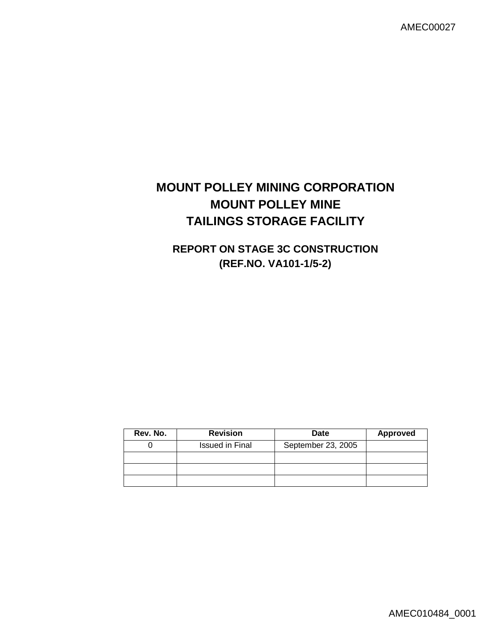AMEC00027

# **MOUNT POLLEY MINING CORPORATION MOUNT POLLEY MINE TAILINGS STORAGE FACILITY**

# **REPORT ON STAGE 3C CONSTRUCTION (REF.NO. VA101-1/5-2)**

| Rev. No. | <b>Revision</b>        | <b>Date</b>        | <b>Approved</b> |
|----------|------------------------|--------------------|-----------------|
|          | <b>Issued in Final</b> | September 23, 2005 |                 |
|          |                        |                    |                 |
|          |                        |                    |                 |
|          |                        |                    |                 |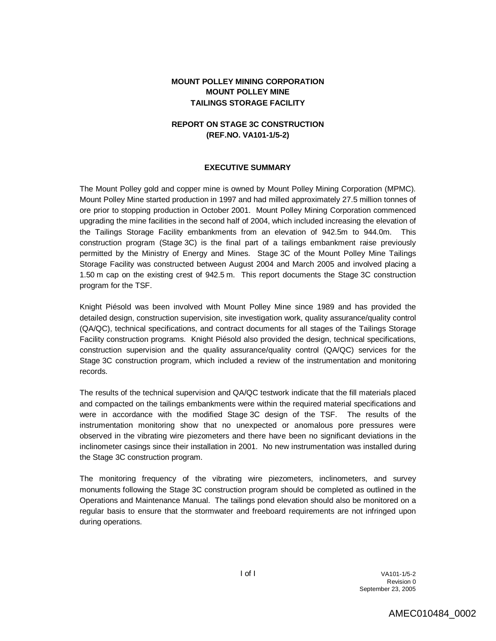## **MOUNT POLLEY MINING CORPORATION MOUNT POLLEY MINE TAILINGS STORAGE FACILITY**

## **REPORT ON STAGE 3C CONSTRUCTION (REF.NO. VA101-1/5-2)**

#### **EXECUTIVE SUMMARY**

The Mount Polley gold and copper mine is owned by Mount Polley Mining Corporation (MPMC). Mount Polley Mine started production in 1997 and had milled approximately 27.5 million tonnes of ore prior to stopping production in October 2001. Mount Polley Mining Corporation commenced upgrading the mine facilities in the second half of 2004, which included increasing the elevation of the Tailings Storage Facility embankments from an elevation of 942.5m to 944.0m. This construction program (Stage 3C) is the final part of a tailings embankment raise previously permitted by the Ministry of Energy and Mines. Stage 3C of the Mount Polley Mine Tailings Storage Facility was constructed between August 2004 and March 2005 and involved placing a 1.50 m cap on the existing crest of 942.5 m. This report documents the Stage 3C construction program for the TSF.

Knight Piésold was been involved with Mount Polley Mine since 1989 and has provided the detailed design, construction supervision, site investigation work, quality assurance/quality control (QA/QC), technical specifications, and contract documents for all stages of the Tailings Storage Facility construction programs. Knight Piésold also provided the design, technical specifications, construction supervision and the quality assurance/quality control (QA/QC) services for the Stage 3C construction program, which included a review of the instrumentation and monitoring records.

The results of the technical supervision and QA/QC testwork indicate that the fill materials placed and compacted on the tailings embankments were within the required material specifications and were in accordance with the modified Stage 3C design of the TSF. The results of the instrumentation monitoring show that no unexpected or anomalous pore pressures were observed in the vibrating wire piezometers and there have been no significant deviations in the inclinometer casings since their installation in 2001. No new instrumentation was installed during the Stage 3C construction program.

The monitoring frequency of the vibrating wire piezometers, inclinometers, and survey monuments following the Stage 3C construction program should be completed as outlined in the Operations and Maintenance Manual. The tailings pond elevation should also be monitored on a regular basis to ensure that the stormwater and freeboard requirements are not infringed upon during operations.

> I of I VA101-1/5-2 Revision 0 September 23, 2005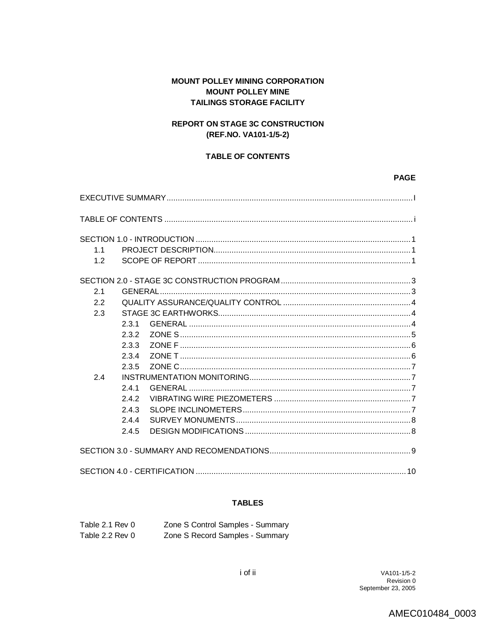# **MOUNT POLLEY MINING CORPORATION MOUNT POLLEY MINE TAILINGS STORAGE FACILITY**

# **REPORT ON STAGE 3C CONSTRUCTION** (REF.NO. VA101-1/5-2)

## **TABLE OF CONTENTS**

#### **PAGE**

| 11<br>1.2 |       |  |
|-----------|-------|--|
| 2.1       |       |  |
| 2.2       |       |  |
| 2.3       |       |  |
|           | 2.3.1 |  |
|           | 2.3.2 |  |
|           | 2.3.3 |  |
|           | 234   |  |
|           | 2.3.5 |  |
| 2.4       |       |  |
|           | 2.4.1 |  |
|           | $242$ |  |
|           | 2.4.3 |  |
|           | 2.4.4 |  |
|           | 2.4.5 |  |
|           |       |  |
|           |       |  |

### **TABLES**

| Table 2.1 Rev 0 | Zone S Control Samples - Summary |
|-----------------|----------------------------------|
| Table 2.2 Rev 0 | Zone S Record Samples - Summary  |

AMEC010484\_0003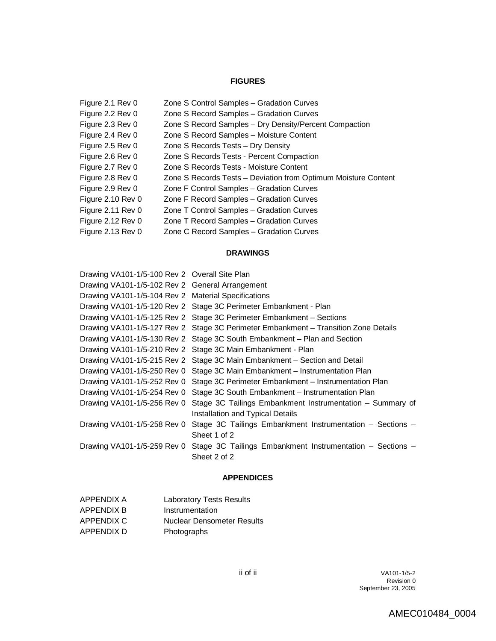## **FIGURES**

| Figure 2.1 Rev 0  | Zone S Control Samples - Gradation Curves                      |
|-------------------|----------------------------------------------------------------|
| Figure 2.2 Rev 0  | Zone S Record Samples - Gradation Curves                       |
| Figure 2.3 Rev 0  | Zone S Record Samples - Dry Density/Percent Compaction         |
| Figure 2.4 Rev 0  | Zone S Record Samples - Moisture Content                       |
| Figure 2.5 Rev 0  | Zone S Records Tests - Dry Density                             |
| Figure 2.6 Rev 0  | Zone S Records Tests - Percent Compaction                      |
| Figure 2.7 Rev 0  | Zone S Records Tests - Moisture Content                        |
| Figure 2.8 Rev 0  | Zone S Records Tests - Deviation from Optimum Moisture Content |
| Figure 2.9 Rev 0  | Zone F Control Samples - Gradation Curves                      |
| Figure 2.10 Rev 0 | Zone F Record Samples - Gradation Curves                       |
| Figure 2.11 Rev 0 | Zone T Control Samples - Gradation Curves                      |
| Figure 2.12 Rev 0 | Zone T Record Samples - Gradation Curves                       |
| Figure 2.13 Rev 0 | Zone C Record Samples - Gradation Curves                       |
|                   |                                                                |

#### **DRAWINGS**

| Drawing VA101-1/5-100 Rev 2 Overall Site Plan       |                                                                                     |
|-----------------------------------------------------|-------------------------------------------------------------------------------------|
| Drawing VA101-1/5-102 Rev 2 General Arrangement     |                                                                                     |
| Drawing VA101-1/5-104 Rev 2 Material Specifications |                                                                                     |
|                                                     | Drawing VA101-1/5-120 Rev 2 Stage 3C Perimeter Embankment - Plan                    |
|                                                     | Drawing VA101-1/5-125 Rev 2 Stage 3C Perimeter Embankment - Sections                |
|                                                     | Drawing VA101-1/5-127 Rev 2 Stage 3C Perimeter Embankment - Transition Zone Details |
|                                                     | Drawing VA101-1/5-130 Rev 2 Stage 3C South Embankment - Plan and Section            |
|                                                     | Drawing VA101-1/5-210 Rev 2 Stage 3C Main Embankment - Plan                         |
|                                                     | Drawing VA101-1/5-215 Rev 2 Stage 3C Main Embankment – Section and Detail           |
|                                                     | Drawing VA101-1/5-250 Rev 0 Stage 3C Main Embankment - Instrumentation Plan         |
| Drawing VA101-1/5-252 Rev 0                         | Stage 3C Perimeter Embankment - Instrumentation Plan                                |
| Drawing VA101-1/5-254 Rev 0                         | Stage 3C South Embankment - Instrumentation Plan                                    |
| Drawing VA101-1/5-256 Rev 0                         | Stage 3C Tailings Embankment Instrumentation - Summary of                           |
|                                                     | Installation and Typical Details                                                    |
| Drawing VA101-1/5-258 Rev 0                         | Stage 3C Tailings Embankment Instrumentation - Sections -                           |
|                                                     | Sheet 1 of 2                                                                        |
| Drawing VA101-1/5-259 Rev 0                         | Stage 3C Tailings Embankment Instrumentation - Sections -                           |
|                                                     | Sheet 2 of 2                                                                        |

## **APPENDICES**

| APPENDIX A        | <b>Laboratory Tests Results</b>   |
|-------------------|-----------------------------------|
| <b>APPENDIX B</b> | Instrumentation                   |
| APPENDIX C        | <b>Nuclear Densometer Results</b> |
| APPENDIX D        | Photographs                       |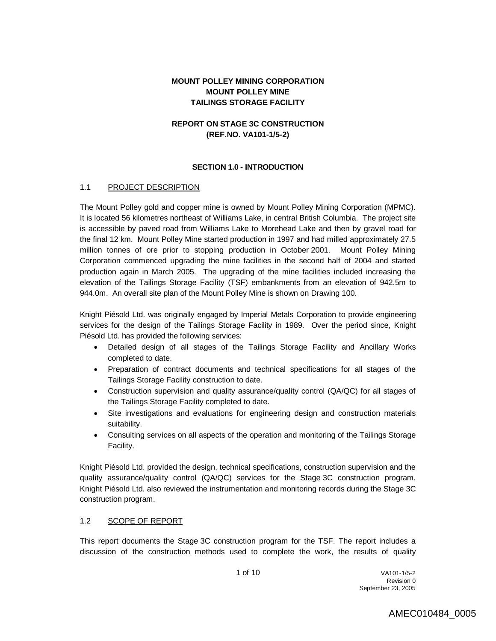## **MOUNT POLLEY MINING CORPORATION MOUNT POLLEY MINE TAILINGS STORAGE FACILITY**

## **REPORT ON STAGE 3C CONSTRUCTION (REF.NO. VA101-1/5-2)**

#### **SECTION 1.0 - INTRODUCTION**

#### 1.1 PROJECT DESCRIPTION

The Mount Polley gold and copper mine is owned by Mount Polley Mining Corporation (MPMC). It is located 56 kilometres northeast of Williams Lake, in central British Columbia. The project site is accessible by paved road from Williams Lake to Morehead Lake and then by gravel road for the final 12 km. Mount Polley Mine started production in 1997 and had milled approximately 27.5 million tonnes of ore prior to stopping production in October 2001. Mount Polley Mining Corporation commenced upgrading the mine facilities in the second half of 2004 and started production again in March 2005. The upgrading of the mine facilities included increasing the elevation of the Tailings Storage Facility (TSF) embankments from an elevation of 942.5m to 944.0m. An overall site plan of the Mount Polley Mine is shown on Drawing 100.

Knight Piésold Ltd. was originally engaged by Imperial Metals Corporation to provide engineering services for the design of the Tailings Storage Facility in 1989. Over the period since, Knight Piésold Ltd. has provided the following services:

- Detailed design of all stages of the Tailings Storage Facility and Ancillary Works completed to date.
- Preparation of contract documents and technical specifications for all stages of the Tailings Storage Facility construction to date.
- Construction supervision and quality assurance/quality control (QA/QC) for all stages of the Tailings Storage Facility completed to date.
- Site investigations and evaluations for engineering design and construction materials suitability.
- Consulting services on all aspects of the operation and monitoring of the Tailings Storage Facility.

Knight Piésold Ltd. provided the design, technical specifications, construction supervision and the quality assurance/quality control (QA/QC) services for the Stage 3C construction program. Knight Piésold Ltd. also reviewed the instrumentation and monitoring records during the Stage 3C construction program.

### 1.2 SCOPE OF REPORT

This report documents the Stage 3C construction program for the TSF. The report includes a discussion of the construction methods used to complete the work, the results of quality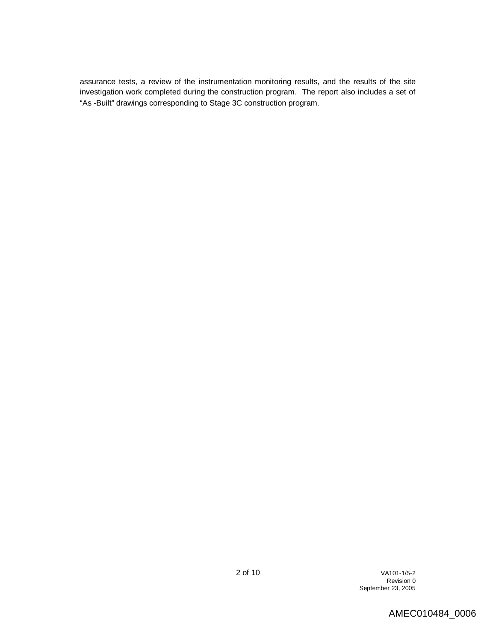assurance tests, a review of the instrumentation monitoring results, and the results of the site investigation work completed during the construction program. The report also includes a set of "As -Built" drawings corresponding to Stage 3C construction program.

# AMEC010484\_0006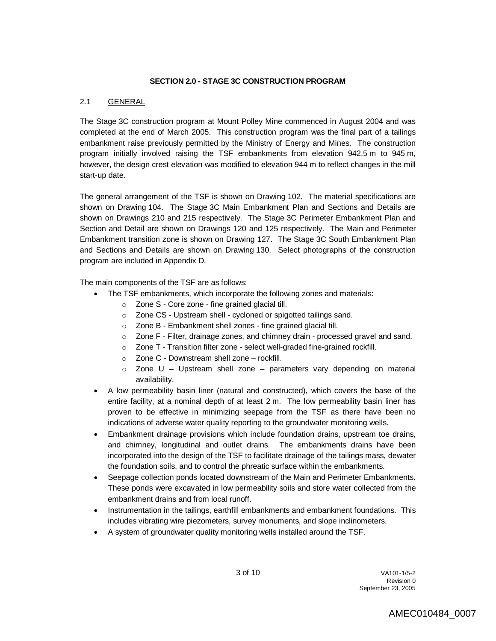### **SECTION 2.0 - STAGE 3C CONSTRUCTION PROGRAM**

## 2.1 GENERAL

The Stage 3C construction program at Mount Polley Mine commenced in August 2004 and was completed at the end of March 2005. This construction program was the final part of a tailings embankment raise previously permitted by the Ministry of Energy and Mines. The construction program initially involved raising the TSF embankments from elevation 942.5 m to 945 m, however, the design crest elevation was modified to elevation 944 m to reflect changes in the mill start-up date.

The general arrangement of the TSF is shown on Drawing 102. The material specifications are shown on Drawing 104. The Stage 3C Main Embankment Plan and Sections and Details are shown on Drawings 210 and 215 respectively. The Stage 3C Perimeter Embankment Plan and Section and Detail are shown on Drawings 120 and 125 respectively. The Main and Perimeter Embankment transition zone is shown on Drawing 127. The Stage 3C South Embankment Plan and Sections and Details are shown on Drawing 130. Select photographs of the construction program are included in Appendix D.

The main components of the TSF are as follows:

- The TSF embankments, which incorporate the following zones and materials:
	- o Zone S Core zone fine grained glacial till.
	- o Zone CS Upstream shell cycloned or spigotted tailings sand.
	- o Zone B Embankment shell zones fine grained glacial till.
	- $\circ$  Zone F Filter, drainage zones, and chimney drain processed gravel and sand.
	- o Zone T Transition filter zone select well-graded fine-grained rockfill.
	- o Zone C Downstream shell zone rockfill.
	- $\circ$  Zone U Upstream shell zone parameters vary depending on material availability.
- A low permeability basin liner (natural and constructed), which covers the base of the entire facility, at a nominal depth of at least 2 m. The low permeability basin liner has proven to be effective in minimizing seepage from the TSF as there have been no indications of adverse water quality reporting to the groundwater monitoring wells.
- Embankment drainage provisions which include foundation drains, upstream toe drains, and chimney, longitudinal and outlet drains. The embankments drains have been incorporated into the design of the TSF to facilitate drainage of the tailings mass, dewater the foundation soils, and to control the phreatic surface within the embankments.
- Seepage collection ponds located downstream of the Main and Perimeter Embankments. These ponds were excavated in low permeability soils and store water collected from the embankment drains and from local runoff.
- Instrumentation in the tailings, earthfill embankments and embankment foundations. This includes vibrating wire piezometers, survey monuments, and slope inclinometers.
- A system of groundwater quality monitoring wells installed around the TSF.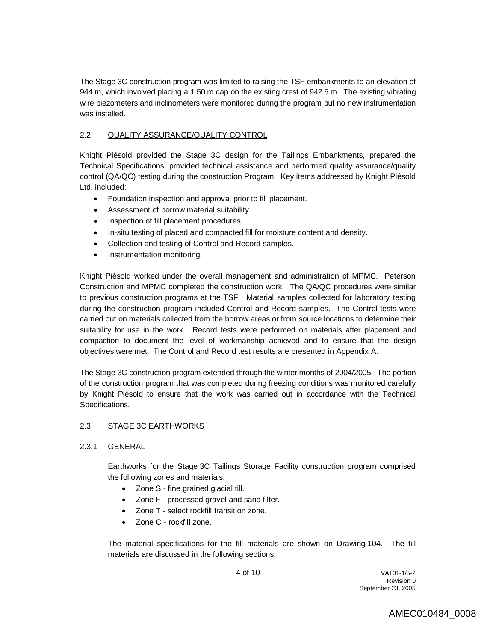The Stage 3C construction program was limited to raising the TSF embankments to an elevation of 944 m, which involved placing a 1.50 m cap on the existing crest of 942.5 m. The existing vibrating wire piezometers and inclinometers were monitored during the program but no new instrumentation was installed.

## 2.2 QUALITY ASSURANCE/QUALITY CONTROL

Knight Piésold provided the Stage 3C design for the Tailings Embankments, prepared the Technical Specifications, provided technical assistance and performed quality assurance/quality control (QA/QC) testing during the construction Program. Key items addressed by Knight Piésold Ltd. included:

- Foundation inspection and approval prior to fill placement.
- Assessment of borrow material suitability.
- Inspection of fill placement procedures.
- In-situ testing of placed and compacted fill for moisture content and density.
- Collection and testing of Control and Record samples.
- Instrumentation monitoring.

Knight Piésold worked under the overall management and administration of MPMC. Peterson Construction and MPMC completed the construction work. The QA/QC procedures were similar to previous construction programs at the TSF. Material samples collected for laboratory testing during the construction program included Control and Record samples. The Control tests were carried out on materials collected from the borrow areas or from source locations to determine their suitability for use in the work. Record tests were performed on materials after placement and compaction to document the level of workmanship achieved and to ensure that the design objectives were met. The Control and Record test results are presented in Appendix A.

The Stage 3C construction program extended through the winter months of 2004/2005. The portion of the construction program that was completed during freezing conditions was monitored carefully by Knight Piésold to ensure that the work was carried out in accordance with the Technical Specifications.

#### 2.3 STAGE 3C EARTHWORKS

#### 2.3.1 GENERAL

Earthworks for the Stage 3C Tailings Storage Facility construction program comprised the following zones and materials:

- Zone S fine grained glacial till.
- Zone F processed gravel and sand filter.
- Zone T select rockfill transition zone.
- Zone C rockfill zone.

The material specifications for the fill materials are shown on Drawing 104. The fill materials are discussed in the following sections.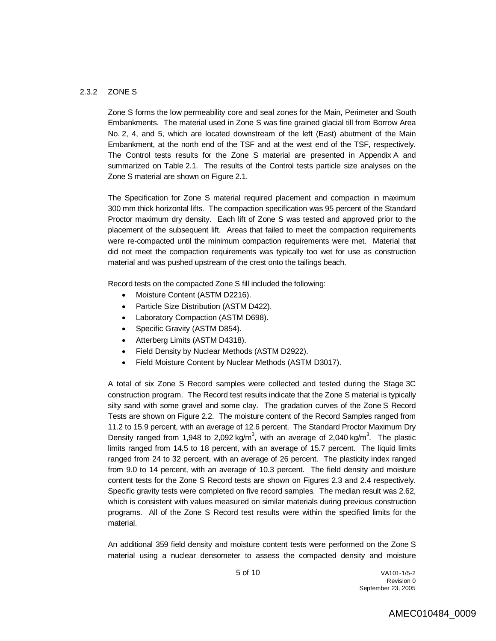#### 2.3.2 ZONE S

Zone S forms the low permeability core and seal zones for the Main, Perimeter and South Embankments. The material used in Zone S was fine grained glacial till from Borrow Area No. 2, 4, and 5, which are located downstream of the left (East) abutment of the Main Embankment, at the north end of the TSF and at the west end of the TSF, respectively. The Control tests results for the Zone S material are presented in Appendix A and summarized on Table 2.1. The results of the Control tests particle size analyses on the Zone S material are shown on Figure 2.1.

The Specification for Zone S material required placement and compaction in maximum 300 mm thick horizontal lifts. The compaction specification was 95 percent of the Standard Proctor maximum dry density. Each lift of Zone S was tested and approved prior to the placement of the subsequent lift. Areas that failed to meet the compaction requirements were re-compacted until the minimum compaction requirements were met. Material that did not meet the compaction requirements was typically too wet for use as construction material and was pushed upstream of the crest onto the tailings beach.

Record tests on the compacted Zone S fill included the following:

- Moisture Content (ASTM D2216).
- Particle Size Distribution (ASTM D422).
- Laboratory Compaction (ASTM D698).
- Specific Gravity (ASTM D854).
- Atterberg Limits (ASTM D4318).
- Field Density by Nuclear Methods (ASTM D2922).
- Field Moisture Content by Nuclear Methods (ASTM D3017).

A total of six Zone S Record samples were collected and tested during the Stage 3C construction program. The Record test results indicate that the Zone S material is typically silty sand with some gravel and some clay. The gradation curves of the Zone S Record Tests are shown on Figure 2.2. The moisture content of the Record Samples ranged from 11.2 to 15.9 percent, with an average of 12.6 percent. The Standard Proctor Maximum Dry Density ranged from 1,948 to 2,092 kg/m<sup>3</sup>, with an average of 2,040 kg/m<sup>3</sup>. The plastic limits ranged from 14.5 to 18 percent, with an average of 15.7 percent. The liquid limits ranged from 24 to 32 percent, with an average of 26 percent. The plasticity index ranged from 9.0 to 14 percent, with an average of 10.3 percent. The field density and moisture content tests for the Zone S Record tests are shown on Figures 2.3 and 2.4 respectively. Specific gravity tests were completed on five record samples. The median result was 2.62, which is consistent with values measured on similar materials during previous construction programs. All of the Zone S Record test results were within the specified limits for the material.

An additional 359 field density and moisture content tests were performed on the Zone S material using a nuclear densometer to assess the compacted density and moisture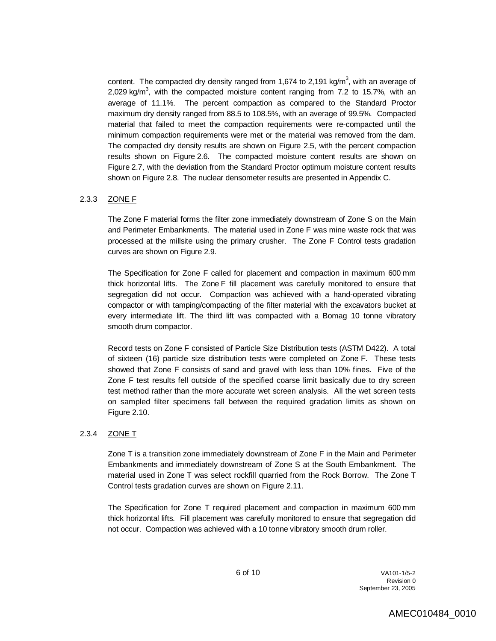content. The compacted dry density ranged from 1,674 to 2,191 kg/m<sup>3</sup>, with an average of 2,029 kg/m<sup>3</sup>, with the compacted moisture content ranging from 7.2 to 15.7%, with an average of 11.1%. The percent compaction as compared to the Standard Proctor maximum dry density ranged from 88.5 to 108.5%, with an average of 99.5%. Compacted material that failed to meet the compaction requirements were re-compacted until the minimum compaction requirements were met or the material was removed from the dam. The compacted dry density results are shown on Figure 2.5, with the percent compaction results shown on Figure 2.6. The compacted moisture content results are shown on Figure 2.7, with the deviation from the Standard Proctor optimum moisture content results shown on Figure 2.8. The nuclear densometer results are presented in Appendix C.

#### 2.3.3 ZONE F

The Zone F material forms the filter zone immediately downstream of Zone S on the Main and Perimeter Embankments. The material used in Zone F was mine waste rock that was processed at the millsite using the primary crusher. The Zone F Control tests gradation curves are shown on Figure 2.9.

The Specification for Zone F called for placement and compaction in maximum 600 mm thick horizontal lifts. The Zone F fill placement was carefully monitored to ensure that segregation did not occur. Compaction was achieved with a hand-operated vibrating compactor or with tamping/compacting of the filter material with the excavators bucket at every intermediate lift. The third lift was compacted with a Bomag 10 tonne vibratory smooth drum compactor.

Record tests on Zone F consisted of Particle Size Distribution tests (ASTM D422). A total of sixteen (16) particle size distribution tests were completed on Zone F. These tests showed that Zone F consists of sand and gravel with less than 10% fines. Five of the Zone F test results fell outside of the specified coarse limit basically due to dry screen test method rather than the more accurate wet screen analysis. All the wet screen tests on sampled filter specimens fall between the required gradation limits as shown on Figure 2.10.

#### 2.3.4 ZONE T

Zone T is a transition zone immediately downstream of Zone F in the Main and Perimeter Embankments and immediately downstream of Zone S at the South Embankment. The material used in Zone T was select rockfill quarried from the Rock Borrow. The Zone T Control tests gradation curves are shown on Figure 2.11.

The Specification for Zone T required placement and compaction in maximum 600 mm thick horizontal lifts. Fill placement was carefully monitored to ensure that segregation did not occur. Compaction was achieved with a 10 tonne vibratory smooth drum roller.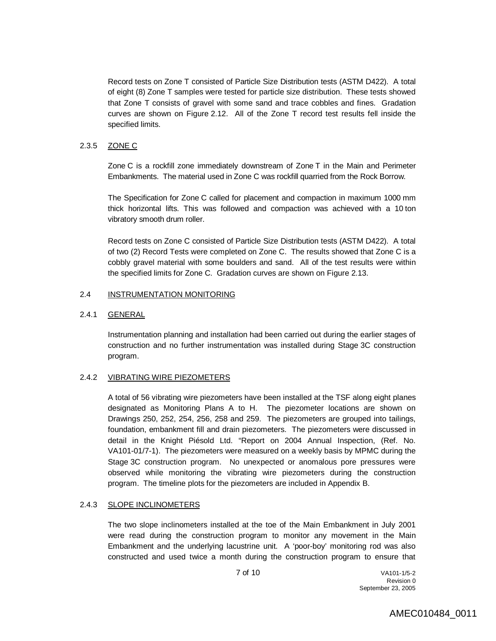Record tests on Zone T consisted of Particle Size Distribution tests (ASTM D422). A total of eight (8) Zone T samples were tested for particle size distribution. These tests showed that Zone T consists of gravel with some sand and trace cobbles and fines. Gradation curves are shown on Figure 2.12. All of the Zone T record test results fell inside the specified limits.

#### 2.3.5 ZONE C

Zone C is a rockfill zone immediately downstream of Zone T in the Main and Perimeter Embankments. The material used in Zone C was rockfill quarried from the Rock Borrow.

The Specification for Zone C called for placement and compaction in maximum 1000 mm thick horizontal lifts. This was followed and compaction was achieved with a 10 ton vibratory smooth drum roller.

Record tests on Zone C consisted of Particle Size Distribution tests (ASTM D422). A total of two (2) Record Tests were completed on Zone C. The results showed that Zone C is a cobbly gravel material with some boulders and sand. All of the test results were within the specified limits for Zone C. Gradation curves are shown on Figure 2.13.

#### 2.4 INSTRUMENTATION MONITORING

#### 2.4.1 GENERAL

Instrumentation planning and installation had been carried out during the earlier stages of construction and no further instrumentation was installed during Stage 3C construction program.

#### 2.4.2 VIBRATING WIRE PIEZOMETERS

A total of 56 vibrating wire piezometers have been installed at the TSF along eight planes designated as Monitoring Plans A to H. The piezometer locations are shown on Drawings 250, 252, 254, 256, 258 and 259. The piezometers are grouped into tailings, foundation, embankment fill and drain piezometers. The piezometers were discussed in detail in the Knight Piésold Ltd. "Report on 2004 Annual Inspection, (Ref. No. VA101-01/7-1). The piezometers were measured on a weekly basis by MPMC during the Stage 3C construction program. No unexpected or anomalous pore pressures were observed while monitoring the vibrating wire piezometers during the construction program. The timeline plots for the piezometers are included in Appendix B.

#### 2.4.3 SLOPE INCLINOMETERS

The two slope inclinometers installed at the toe of the Main Embankment in July 2001 were read during the construction program to monitor any movement in the Main Embankment and the underlying lacustrine unit. A 'poor-boy' monitoring rod was also constructed and used twice a month during the construction program to ensure that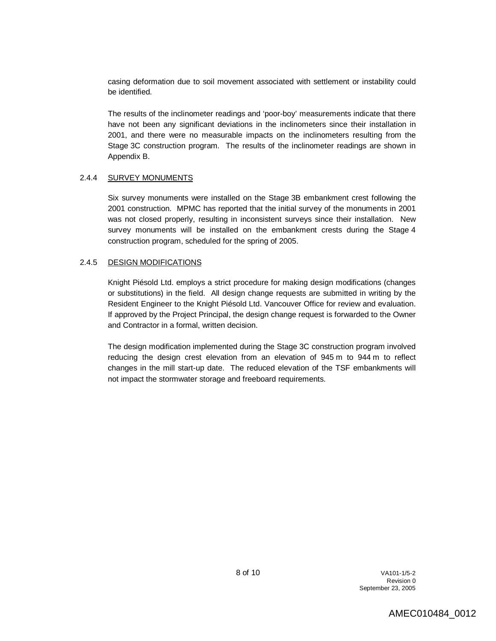casing deformation due to soil movement associated with settlement or instability could be identified.

The results of the inclinometer readings and 'poor-boy' measurements indicate that there have not been any significant deviations in the inclinometers since their installation in 2001, and there were no measurable impacts on the inclinometers resulting from the Stage 3C construction program. The results of the inclinometer readings are shown in Appendix B.

#### 2.4.4 SURVEY MONUMENTS

Six survey monuments were installed on the Stage 3B embankment crest following the 2001 construction. MPMC has reported that the initial survey of the monuments in 2001 was not closed properly, resulting in inconsistent surveys since their installation. New survey monuments will be installed on the embankment crests during the Stage 4 construction program, scheduled for the spring of 2005.

#### 2.4.5 DESIGN MODIFICATIONS

Knight Piésold Ltd. employs a strict procedure for making design modifications (changes or substitutions) in the field. All design change requests are submitted in writing by the Resident Engineer to the Knight Piésold Ltd. Vancouver Office for review and evaluation. If approved by the Project Principal, the design change request is forwarded to the Owner and Contractor in a formal, written decision.

The design modification implemented during the Stage 3C construction program involved reducing the design crest elevation from an elevation of 945 m to 944 m to reflect changes in the mill start-up date. The reduced elevation of the TSF embankments will not impact the stormwater storage and freeboard requirements.

> 8 of 10 VA101-1/5-2 Revision 0 September 23, 2005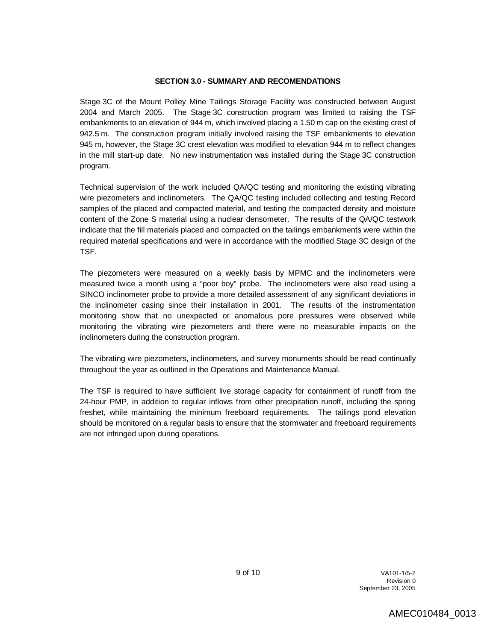#### **SECTION 3.0 - SUMMARY AND RECOMENDATIONS**

Stage 3C of the Mount Polley Mine Tailings Storage Facility was constructed between August 2004 and March 2005. The Stage 3C construction program was limited to raising the TSF embankments to an elevation of 944 m, which involved placing a 1.50 m cap on the existing crest of 942.5 m. The construction program initially involved raising the TSF embankments to elevation 945 m, however, the Stage 3C crest elevation was modified to elevation 944 m to reflect changes in the mill start-up date. No new instrumentation was installed during the Stage 3C construction program.

Technical supervision of the work included QA/QC testing and monitoring the existing vibrating wire piezometers and inclinometers. The QA/QC testing included collecting and testing Record samples of the placed and compacted material, and testing the compacted density and moisture content of the Zone S material using a nuclear densometer. The results of the QA/QC testwork indicate that the fill materials placed and compacted on the tailings embankments were within the required material specifications and were in accordance with the modified Stage 3C design of the TSF.

The piezometers were measured on a weekly basis by MPMC and the inclinometers were measured twice a month using a "poor boy" probe. The inclinometers were also read using a SINCO inclinometer probe to provide a more detailed assessment of any significant deviations in the inclinometer casing since their installation in 2001. The results of the instrumentation monitoring show that no unexpected or anomalous pore pressures were observed while monitoring the vibrating wire piezometers and there were no measurable impacts on the inclinometers during the construction program.

The vibrating wire piezometers, inclinometers, and survey monuments should be read continually throughout the year as outlined in the Operations and Maintenance Manual.

The TSF is required to have sufficient live storage capacity for containment of runoff from the 24-hour PMP, in addition to regular inflows from other precipitation runoff, including the spring freshet, while maintaining the minimum freeboard requirements. The tailings pond elevation should be monitored on a regular basis to ensure that the stormwater and freeboard requirements are not infringed upon during operations.

> 9 of 10 VA101-1/5-2 Revision 0 September 23, 2005